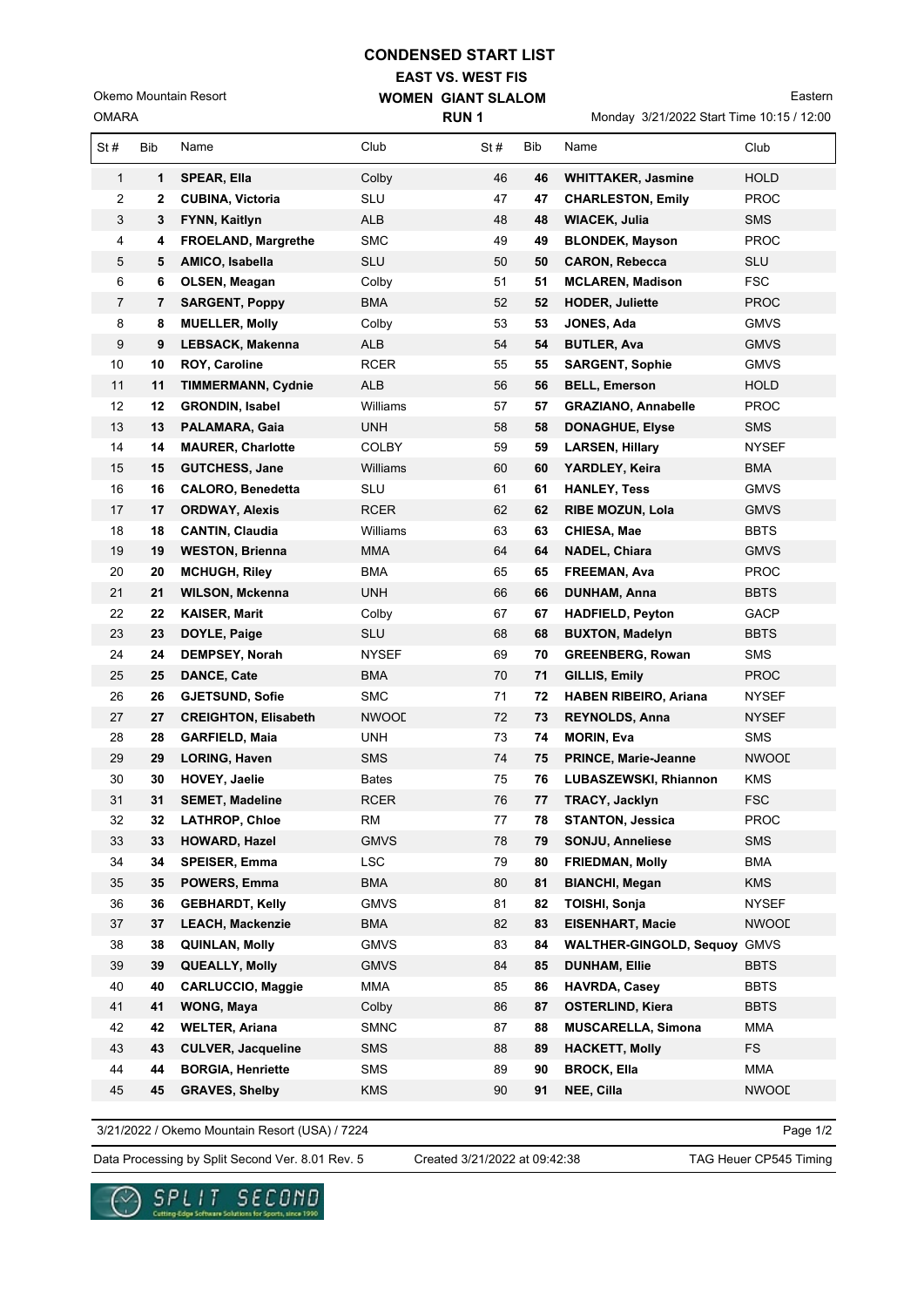## **CONDENSED START LIST**

**EAST VS. WEST FIS WOMEN GIANT SLALOM**

OMARA Okemo Mountain Resort

Monday 3/21/2022 Start Time 10:15 / 12:00

| <b>OMARA</b>   |     |                             | <b>RUN1</b>  |     |     | Monday 3/21/2022 Start Time 10:15 / 12:00 |              |  |
|----------------|-----|-----------------------------|--------------|-----|-----|-------------------------------------------|--------------|--|
| St#            | Bib | Name                        | Club         | St# | Bib | Name                                      | Club         |  |
| $\mathbf{1}$   | 1   | <b>SPEAR, Ella</b>          | Colby        | 46  | 46  | <b>WHITTAKER, Jasmine</b>                 | <b>HOLD</b>  |  |
| 2              | 2   | <b>CUBINA, Victoria</b>     | <b>SLU</b>   | 47  | 47  | <b>CHARLESTON, Emily</b>                  | <b>PROC</b>  |  |
| 3              | 3   | <b>FYNN, Kaitlyn</b>        | <b>ALB</b>   | 48  | 48  | WIACEK, Julia                             | <b>SMS</b>   |  |
| 4              | 4   | <b>FROELAND, Margrethe</b>  | <b>SMC</b>   | 49  | 49  | <b>BLONDEK, Mayson</b>                    | <b>PROC</b>  |  |
| 5              | 5   | AMICO, Isabella             | <b>SLU</b>   | 50  | 50  | <b>CARON, Rebecca</b>                     | <b>SLU</b>   |  |
| 6              | 6   | OLSEN, Meagan               | Colby        | 51  | 51  | <b>MCLAREN, Madison</b>                   | <b>FSC</b>   |  |
| $\overline{7}$ | 7   | <b>SARGENT, Poppy</b>       | <b>BMA</b>   | 52  | 52  | <b>HODER, Juliette</b>                    | <b>PROC</b>  |  |
| 8              | 8   | <b>MUELLER, Molly</b>       | Colby        | 53  | 53  | JONES, Ada                                | <b>GMVS</b>  |  |
| 9              | 9   | <b>LEBSACK, Makenna</b>     | <b>ALB</b>   | 54  | 54  | <b>BUTLER, Ava</b>                        | <b>GMVS</b>  |  |
| 10             | 10  | ROY, Caroline               | RCER         | 55  | 55  | <b>SARGENT, Sophie</b>                    | <b>GMVS</b>  |  |
| 11             | 11  | <b>TIMMERMANN, Cydnie</b>   | <b>ALB</b>   | 56  | 56  | <b>BELL, Emerson</b>                      | HOLD         |  |
| 12             | 12  | <b>GRONDIN, Isabel</b>      | Williams     | 57  | 57  | <b>GRAZIANO, Annabelle</b>                | <b>PROC</b>  |  |
| 13             | 13  | PALAMARA, Gaia              | UNH          | 58  | 58  | <b>DONAGHUE, Elyse</b>                    | SMS          |  |
| 14             | 14  | <b>MAURER, Charlotte</b>    | <b>COLBY</b> | 59  | 59  | <b>LARSEN, Hillary</b>                    | <b>NYSEF</b> |  |
| 15             | 15  | <b>GUTCHESS, Jane</b>       | Williams     | 60  | 60  | YARDLEY, Keira                            | <b>BMA</b>   |  |
| 16             | 16  | <b>CALORO, Benedetta</b>    | <b>SLU</b>   | 61  | 61  | <b>HANLEY, Tess</b>                       | <b>GMVS</b>  |  |
| 17             | 17  | <b>ORDWAY, Alexis</b>       | RCER         | 62  | 62  | <b>RIBE MOZUN, Lola</b>                   | <b>GMVS</b>  |  |
| 18             | 18  | <b>CANTIN, Claudia</b>      | Williams     | 63  | 63  | CHIESA, Mae                               | <b>BBTS</b>  |  |
| 19             | 19  | <b>WESTON, Brienna</b>      | <b>MMA</b>   | 64  | 64  | <b>NADEL, Chiara</b>                      | <b>GMVS</b>  |  |
| 20             | 20  | <b>MCHUGH, Riley</b>        | <b>BMA</b>   | 65  | 65  | FREEMAN, Ava                              | <b>PROC</b>  |  |
| 21             | 21  | <b>WILSON, Mckenna</b>      | <b>UNH</b>   | 66  | 66  | <b>DUNHAM, Anna</b>                       | <b>BBTS</b>  |  |
| 22             | 22  | <b>KAISER, Marit</b>        | Colby        | 67  | 67  | <b>HADFIELD, Peyton</b>                   | GACP         |  |
| 23             | 23  | DOYLE, Paige                | SLU          | 68  | 68  | <b>BUXTON, Madelyn</b>                    | <b>BBTS</b>  |  |
| 24             | 24  | <b>DEMPSEY, Norah</b>       | <b>NYSEF</b> | 69  | 70  | <b>GREENBERG, Rowan</b>                   | SMS          |  |
| 25             | 25  | <b>DANCE, Cate</b>          | <b>BMA</b>   | 70  | 71  | GILLIS, Emily                             | <b>PROC</b>  |  |
| 26             | 26  | <b>GJETSUND, Sofie</b>      | <b>SMC</b>   | 71  | 72  | <b>HABEN RIBEIRO, Ariana</b>              | NYSEF        |  |
| 27             | 27  | <b>CREIGHTON, Elisabeth</b> | <b>NWOOL</b> | 72  | 73  | <b>REYNOLDS, Anna</b>                     | <b>NYSEF</b> |  |
| 28             | 28  | <b>GARFIELD, Maia</b>       | <b>UNH</b>   | 73  | 74  | <b>MORIN, Eva</b>                         | <b>SMS</b>   |  |
| 29             | 29  | <b>LORING, Haven</b>        | <b>SMS</b>   | 74  | 75  | <b>PRINCE, Marie-Jeanne</b>               | NWOOL        |  |
| 30             | 30  | HOVEY, Jaelie               | Bates        | 75  | 76  | LUBASZEWSKI, Rhiannon                     | KMS          |  |
| 31             | 31  | <b>SEMET, Madeline</b>      | <b>RCER</b>  | 76  | 77  | <b>TRACY, Jacklyn</b>                     | <b>FSC</b>   |  |
| 32             | 32  | <b>LATHROP, Chloe</b>       | RM           | 77  | 78  | <b>STANTON, Jessica</b>                   | <b>PROC</b>  |  |
| 33             | 33  | HOWARD, Hazel               | <b>GMVS</b>  | 78  | 79  | <b>SONJU, Anneliese</b>                   | <b>SMS</b>   |  |
| 34             | 34  | <b>SPEISER, Emma</b>        | <b>LSC</b>   | 79  | 80  | <b>FRIEDMAN, Molly</b>                    | <b>BMA</b>   |  |
| 35             | 35  | POWERS, Emma                | <b>BMA</b>   | 80  | 81  | <b>BIANCHI, Megan</b>                     | <b>KMS</b>   |  |
| 36             | 36  | <b>GEBHARDT, Kelly</b>      | <b>GMVS</b>  | 81  | 82  | TOISHI, Sonja                             | <b>NYSEF</b> |  |
| 37             | 37  | <b>LEACH, Mackenzie</b>     | <b>BMA</b>   | 82  | 83  | <b>EISENHART, Macie</b>                   | <b>NWOOL</b> |  |
| 38             | 38  | QUINLAN, Molly              | <b>GMVS</b>  | 83  | 84  | <b>WALTHER-GINGOLD, Sequoy</b>            | <b>GMVS</b>  |  |
| 39             | 39  | <b>QUEALLY, Molly</b>       | <b>GMVS</b>  | 84  | 85  | <b>DUNHAM, Ellie</b>                      | <b>BBTS</b>  |  |
| 40             | 40  | <b>CARLUCCIO, Maggie</b>    | MMA          | 85  | 86  | <b>HAVRDA, Casev</b>                      | <b>BBTS</b>  |  |
| 41             | 41  | WONG, Maya                  | Colby        | 86  | 87  | <b>OSTERLIND, Kiera</b>                   | <b>BBTS</b>  |  |
| 42             | 42  | <b>WELTER, Ariana</b>       | <b>SMNC</b>  | 87  | 88  | <b>MUSCARELLA, Simona</b>                 | MMA          |  |
| 43             | 43  | <b>CULVER, Jacqueline</b>   | <b>SMS</b>   | 88  | 89  | <b>HACKETT, Molly</b>                     | <b>FS</b>    |  |
| 44             | 44  | <b>BORGIA, Henriette</b>    | <b>SMS</b>   | 89  | 90  | <b>BROCK, Ella</b>                        | MMA          |  |
| 45             | 45  | <b>GRAVES, Shelby</b>       | <b>KMS</b>   | 90  | 91  | NEE, Cilla                                | <b>NWOOL</b> |  |

3/21/2022 / Okemo Mountain Resort (USA) / 7224

Page 1/2

Data Processing by Split Second Ver. 8.01 Rev. 5 Created 3/21/2022 at 09:42:38 TAG Heuer CP545 Timing

Created 3/21/2022 at 09:42:38